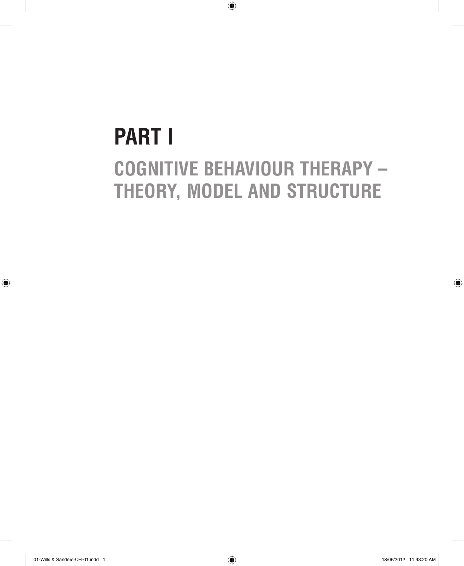# **PART I COGNITIVE BEHAVIOUR THERAPY – THEORY, MODEL AND STRUCTURE**

⊕

 $\bigoplus$ 

 $\bigoplus$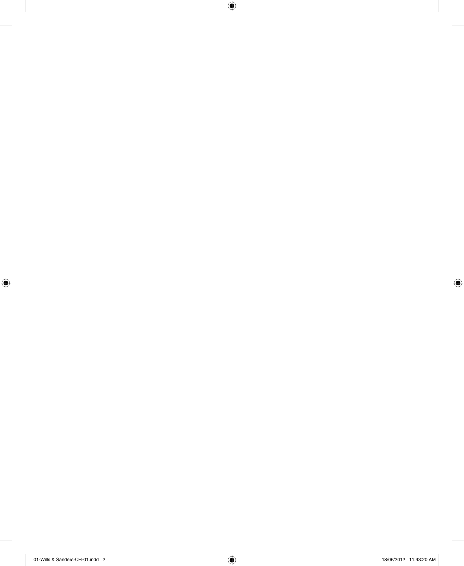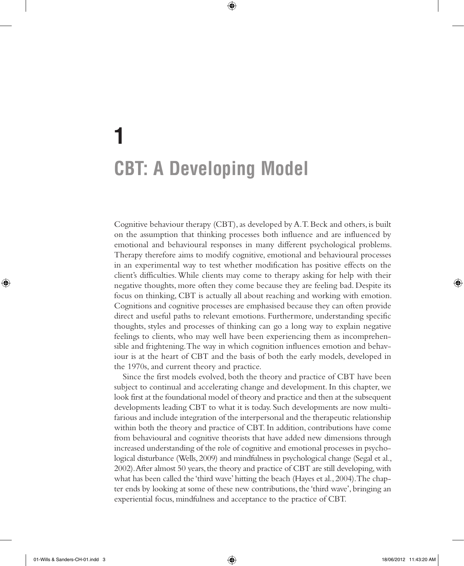⊕

Cognitive behaviour therapy (CBT), as developed by A. T. Beck and others, is built on the assumption that thinking processes both influence and are influenced by emotional and behavioural responses in many different psychological problems. Therapy therefore aims to modify cognitive, emotional and behavioural processes in an experimental way to test whether modification has positive effects on the client's difficulties. While clients may come to therapy asking for help with their negative thoughts, more often they come because they are feeling bad. Despite its focus on thinking, CBT is actually all about reaching and working with emotion. Cognitions and cognitive processes are emphasised because they can often provide direct and useful paths to relevant emotions. Furthermore, understanding specific thoughts, styles and processes of thinking can go a long way to explain negative feelings to clients, who may well have been experiencing them as incomprehensible and frightening. The way in which cognition influences emotion and behaviour is at the heart of CBT and the basis of both the early models, developed in the 1970s, and current theory and practice.

Since the first models evolved, both the theory and practice of CBT have been subject to continual and accelerating change and development. In this chapter, we look first at the foundational model of theory and practice and then at the subsequent developments leading CBT to what it is today. Such developments are now multifarious and include integration of the interpersonal and the therapeutic relationship within both the theory and practice of CBT. In addition, contributions have come from behavioural and cognitive theorists that have added new dimensions through increased understanding of the role of cognitive and emotional processes in psychological disturbance (Wells, 2009) and mindfulness in psychological change (Segal et al., 2002). After almost 50 years, the theory and practice of CBT are still developing, with what has been called the 'third wave' hitting the beach (Hayes et al., 2004). The chapter ends by looking at some of these new contributions, the 'third wave', bringing an experiential focus, mindfulness and acceptance to the practice of CBT.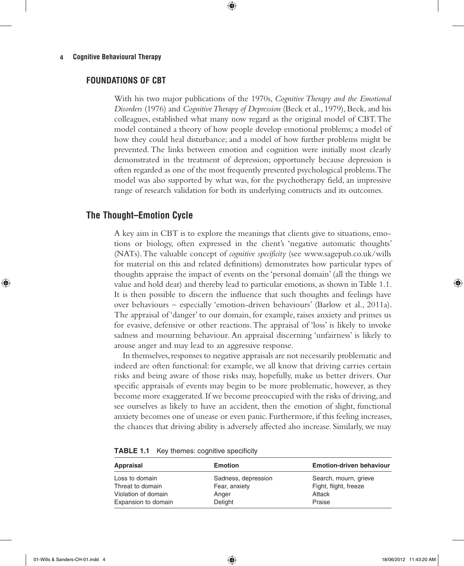## **FOUNDATIONS OF CBT**

With his two major publications of the 1970s, *Cognitive Therapy and the Emotional Disorders* (1976) and *Cognitive Therapy of Depression* (Beck et al., 1979), Beck, and his colleagues, established what many now regard as the original model of CBT. The model contained a theory of how people develop emotional problems; a model of how they could heal disturbance; and a model of how further problems might be prevented. The links between emotion and cognition were initially most clearly demonstrated in the treatment of depression; opportunely because depression is often regarded as one of the most frequently presented psychological problems. The model was also supported by what was, for the psychotherapy field, an impressive range of research validation for both its underlying constructs and its outcomes.

⊕

## **The Thought–Emotion Cycle**

A key aim in CBT is to explore the meanings that clients give to situations, emotions or biology, often expressed in the client's 'negative automatic thoughts' (NATs). The valuable concept of *cognitive specificity* (see www.sagepub.co.uk/wills for material on this and related definitions) demonstrates how particular types of thoughts appraise the impact of events on the 'personal domain' (all the things we value and hold dear) and thereby lead to particular emotions, as shown in Table 1.1. It is then possible to discern the influence that such thoughts and feelings have over behaviours – especially 'emotion-driven behaviours' (Barlow et al., 2011a). The appraisal of 'danger' to our domain, for example, raises anxiety and primes us for evasive, defensive or other reactions. The appraisal of 'loss' is likely to invoke sadness and mourning behaviour. An appraisal discerning 'unfairness' is likely to arouse anger and may lead to an aggressive response.

In themselves, responses to negative appraisals are not necessarily problematic and indeed are often functional: for example, we all know that driving carries certain risks and being aware of those risks may, hopefully, make us better drivers. Our specific appraisals of events may begin to be more problematic, however, as they become more exaggerated. If we become preoccupied with the risks of driving, and see ourselves as likely to have an accident, then the emotion of slight, functional anxiety becomes one of unease or even panic. Furthermore, if this feeling increases, the chances that driving ability is adversely affected also increase. Similarly, we may

| Appraisal           | <b>Emotion</b>      | <b>Emotion-driven behaviour</b> |
|---------------------|---------------------|---------------------------------|
| Loss to domain      | Sadness, depression | Search, mourn, grieve           |
| Threat to domain    | Fear, anxiety       | Fight, flight, freeze           |
| Violation of domain | Anger               | Attack                          |
| Expansion to domain | Delight             | Praise                          |

| TABLE 1.1 | Key themes: cognitive specificity |  |
|-----------|-----------------------------------|--|
|           |                                   |  |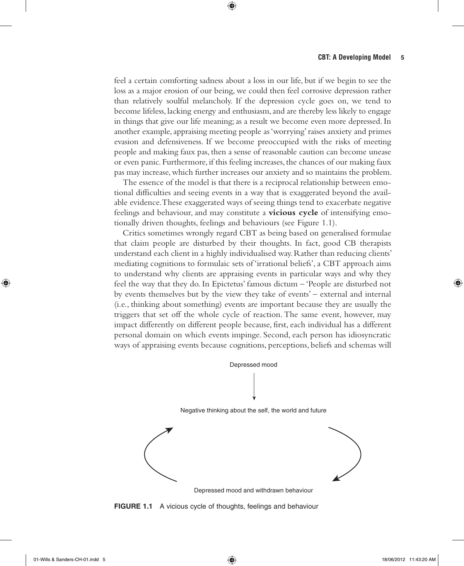feel a certain comforting sadness about a loss in our life, but if we begin to see the loss as a major erosion of our being, we could then feel corrosive depression rather than relatively soulful melancholy. If the depression cycle goes on, we tend to become lifeless, lacking energy and enthusiasm, and are thereby less likely to engage in things that give our life meaning; as a result we become even more depressed. In another example, appraising meeting people as 'worrying' raises anxiety and primes evasion and defensiveness. If we become preoccupied with the risks of meeting people and making faux pas, then a sense of reasonable caution can become unease or even panic. Furthermore, if this feeling increases, the chances of our making faux pas may increase, which further increases our anxiety and so maintains the problem.

⊕

The essence of the model is that there is a reciprocal relationship between emotional difficulties and seeing events in a way that is exaggerated beyond the available evidence. These exaggerated ways of seeing things tend to exacerbate negative feelings and behaviour, and may constitute a **vicious cycle** of intensifying emotionally driven thoughts, feelings and behaviours (see Figure 1.1).

Critics sometimes wrongly regard CBT as being based on generalised formulae that claim people are disturbed by their thoughts. In fact, good CB therapists understand each client in a highly individualised way. Rather than reducing clients' mediating cognitions to formulaic sets of 'irrational beliefs', a CBT approach aims to understand why clients are appraising events in particular ways and why they feel the way that they do. In Epictetus' famous dictum – 'People are disturbed not by events themselves but by the view they take of events' – external and internal (i.e., thinking about something) events are important because they are usually the triggers that set off the whole cycle of reaction. The same event, however, may impact differently on different people because, first, each individual has a different personal domain on which events impinge. Second, each person has idiosyncratic ways of appraising events because cognitions, perceptions, beliefs and schemas will



**FIGURE 1.1** A vicious cycle of thoughts, feelings and behaviour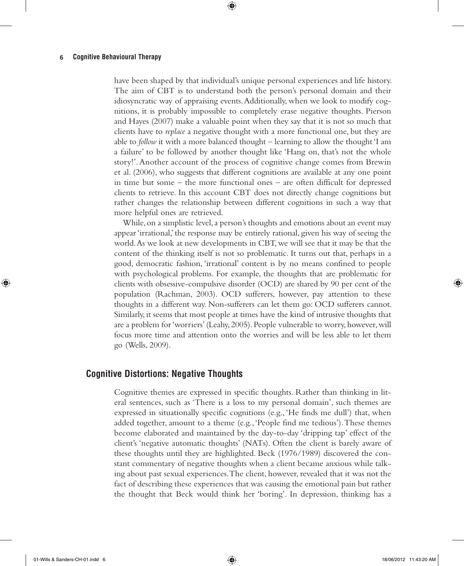have been shaped by that individual's unique personal experiences and life history. The aim of CBT is to understand both the person's personal domain and their idiosyncratic way of appraising events. Additionally, when we look to modify cognitions, it is probably impossible to completely erase negative thoughts. Pierson and Hayes (2007) make a valuable point when they say that it is not so much that clients have to *replace* a negative thought with a more functional one, but they are able to *follow* it with a more balanced thought – learning to allow the thought 'I am a failure' to be followed by another thought like 'Hang on, that's not the whole story!'. Another account of the process of cognitive change comes from Brewin et al. (2006), who suggests that different cognitions are available at any one point in time but some – the more functional ones – are often difficult for depressed clients to retrieve. In this account CBT does not directly change cognitions but rather changes the relationship between different cognitions in such a way that more helpful ones are retrieved.

⊕

While, on a simplistic level, a person's thoughts and emotions about an event may appear 'irrational,' the response may be entirely rational, given his way of seeing the world. As we look at new developments in CBT, we will see that it may be that the content of the thinking itself is not so problematic. It turns out that, perhaps in a good, democratic fashion, 'irrational' content is by no means confined to people with psychological problems. For example, the thoughts that are problematic for clients with obsessive-compulsive disorder (OCD) are shared by 90 per cent of the population (Rachman, 2003). OCD sufferers, however, pay attention to these thoughts in a different way. Non-sufferers can let them go: OCD sufferers cannot. Similarly, it seems that most people at times have the kind of intrusive thoughts that are a problem for 'worriers' (Leahy, 2005). People vulnerable to worry, however, will focus more time and attention onto the worries and will be less able to let them go (Wells, 2009).

## **Cognitive Distortions: Negative Thoughts**

Cognitive themes are expressed in specific thoughts. Rather than thinking in literal sentences, such as 'There is a loss to my personal domain', such themes are expressed in situationally specific cognitions (e.g., 'He finds me dull') that, when added together, amount to a theme (e.g., 'People find me tedious'). These themes become elaborated and maintained by the day-to-day 'dripping tap' effect of the client's 'negative automatic thoughts' (NATs). Often the client is barely aware of these thoughts until they are highlighted. Beck (1976/1989) discovered the constant commentary of negative thoughts when a client became anxious while talking about past sexual experiences. The client, however, revealed that it was not the fact of describing these experiences that was causing the emotional pain but rather the thought that Beck would think her 'boring'. In depression, thinking has a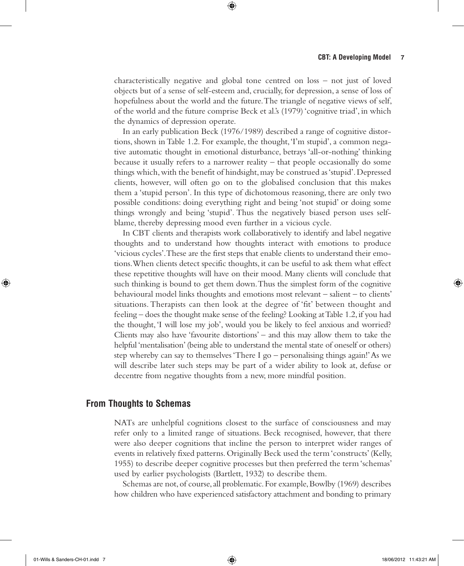characteristically negative and global tone centred on loss – not just of loved objects but of a sense of self-esteem and, crucially, for depression, a sense of loss of hopefulness about the world and the future. The triangle of negative views of self, of the world and the future comprise Beck et al.'s (1979) 'cognitive triad', in which the dynamics of depression operate.

⊕

In an early publication Beck (1976/1989) described a range of cognitive distortions, shown in Table 1.2. For example, the thought, 'I'm stupid', a common negative automatic thought in emotional disturbance, betrays 'all-or-nothing' thinking because it usually refers to a narrower reality – that people occasionally do some things which, with the benefit of hindsight, may be construed as 'stupid'. Depressed clients, however, will often go on to the globalised conclusion that this makes them a 'stupid person'. In this type of dichotomous reasoning, there are only two possible conditions: doing everything right and being 'not stupid' or doing some things wrongly and being 'stupid'. Thus the negatively biased person uses selfblame, thereby depressing mood even further in a vicious cycle.

In CBT clients and therapists work collaboratively to identify and label negative thoughts and to understand how thoughts interact with emotions to produce 'vicious cycles'. These are the first steps that enable clients to understand their emotions. When clients detect specific thoughts, it can be useful to ask them what effect these repetitive thoughts will have on their mood. Many clients will conclude that such thinking is bound to get them down. Thus the simplest form of the cognitive behavioural model links thoughts and emotions most relevant – salient – to clients' situations. Therapists can then look at the degree of 'fit' between thought and feeling – does the thought make sense of the feeling? Looking at Table 1.2, if you had the thought, 'I will lose my job', would you be likely to feel anxious and worried? Clients may also have 'favourite distortions' – and this may allow them to take the helpful 'mentalisation' (being able to understand the mental state of oneself or others) step whereby can say to themselves 'There I go – personalising things again!' As we will describe later such steps may be part of a wider ability to look at, defuse or decentre from negative thoughts from a new, more mindful position.

## **From Thoughts to Schemas**

NATs are unhelpful cognitions closest to the surface of consciousness and may refer only to a limited range of situations. Beck recognised, however, that there were also deeper cognitions that incline the person to interpret wider ranges of events in relatively fixed patterns. Originally Beck used the term 'constructs' (Kelly, 1955) to describe deeper cognitive processes but then preferred the term 'schemas' used by earlier psychologists (Bartlett, 1932) to describe them.

Schemas are not, of course, all problematic. For example, Bowlby (1969) describes how children who have experienced satisfactory attachment and bonding to primary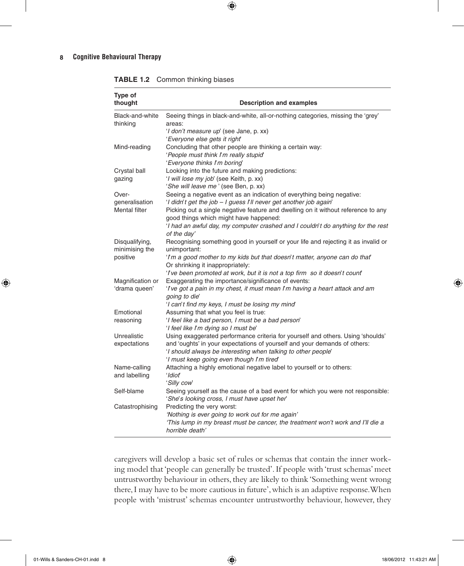| TABLE 1.2 | Common thinking biases |  |  |
|-----------|------------------------|--|--|
|-----------|------------------------|--|--|

 $\bigoplus$ 

| Type of<br>thought               | <b>Description and examples</b>                                                                                                                                                                                               |
|----------------------------------|-------------------------------------------------------------------------------------------------------------------------------------------------------------------------------------------------------------------------------|
| Black-and-white<br>thinking      | Seeing things in black-and-white, all-or-nothing categories, missing the 'grey'<br>areas:                                                                                                                                     |
|                                  | 'I don't measure up' (see Jane, p. xx)                                                                                                                                                                                        |
|                                  | 'Everyone else gets it right'                                                                                                                                                                                                 |
| Mind-reading                     | Concluding that other people are thinking a certain way:                                                                                                                                                                      |
|                                  | 'People must think I'm really stupid'<br>'Everyone thinks I'm boring'                                                                                                                                                         |
| Crystal ball                     | Looking into the future and making predictions:                                                                                                                                                                               |
| gazing                           | 'I will lose my job' (see Keith, p. xx)                                                                                                                                                                                       |
|                                  | 'She will leave me' (see Ben, p. xx)                                                                                                                                                                                          |
| Over-                            | Seeing a negative event as an indication of everything being negative:                                                                                                                                                        |
| generalisation                   | 'I didn't get the job - I guess I'll never get another job again'                                                                                                                                                             |
| Mental filter                    | Picking out a single negative feature and dwelling on it without reference to any<br>good things which might have happened:                                                                                                   |
|                                  | 'I had an awful day, my computer crashed and I couldn't do anything for the rest<br>of the day'                                                                                                                               |
| Disqualifying,<br>minimising the | Recognising something good in yourself or your life and rejecting it as invalid or<br>unimportant:                                                                                                                            |
| positive                         | 'I'm a good mother to my kids but that doesn't matter, anyone can do that<br>Or shrinking it inappropriately:                                                                                                                 |
|                                  | 'f ve been promoted at work, but it is not a top firm so it doesn't count                                                                                                                                                     |
| Magnification or                 | Exaggerating the importance/significance of events:                                                                                                                                                                           |
| 'drama queen'                    | 'f ve got a pain in my chest, it must mean I'm having a heart attack and am<br>going to die'                                                                                                                                  |
|                                  | 'I can't find my keys, I must be losing my mind'                                                                                                                                                                              |
| Emotional                        | Assuming that what you feel is true:                                                                                                                                                                                          |
| reasoning                        | 'I feel like a bad person, I must be a bad person'                                                                                                                                                                            |
|                                  | 'I feel like I'm dying so I must be'                                                                                                                                                                                          |
| Unrealistic<br>expectations      | Using exaggerated performance criteria for yourself and others. Using 'shoulds'<br>and 'oughts' in your expectations of yourself and your demands of others:<br>'I should always be interesting when talking to other people' |
| Name-calling                     | 'I must keep going even though I'm tired'<br>Attaching a highly emotional negative label to yourself or to others:                                                                                                            |
| and labelling                    | ʻldiot<br>'Silly cow'                                                                                                                                                                                                         |
| Self-blame                       | Seeing yourself as the cause of a bad event for which you were not responsible:<br>'She's looking cross, I must have upset her'                                                                                               |
| Catastrophising                  | Predicting the very worst:                                                                                                                                                                                                    |
|                                  | 'Nothing is ever going to work out for me again'                                                                                                                                                                              |
|                                  | 'This lump in my breast must be cancer, the treatment won't work and I'll die a<br>horrible death'                                                                                                                            |

caregivers will develop a basic set of rules or schemas that contain the inner working model that 'people can generally be trusted'. If people with 'trust schemas' meet untrustworthy behaviour in others, they are likely to think 'Something went wrong there, I may have to be more cautious in future', which is an adaptive response. When people with 'mistrust' schemas encounter untrustworthy behaviour, however, they

 $\bigoplus$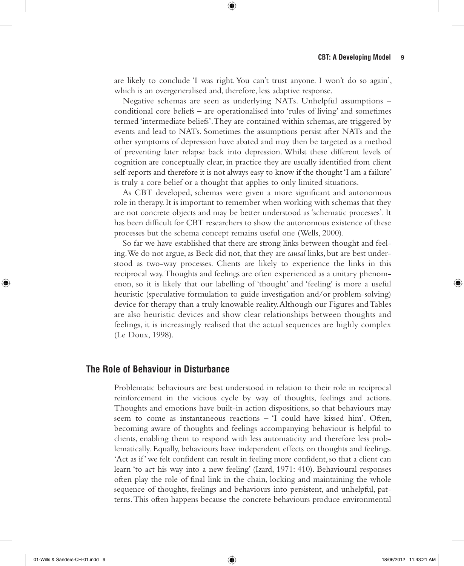are likely to conclude 'I was right. You can't trust anyone. I won't do so again', which is an overgeneralised and, therefore, less adaptive response.

⊕

Negative schemas are seen as underlying NATs. Unhelpful assumptions – conditional core beliefs – are operationalised into 'rules of living' and sometimes termed 'intermediate beliefs'. They are contained within schemas, are triggered by events and lead to NATs. Sometimes the assumptions persist after NATs and the other symptoms of depression have abated and may then be targeted as a method of preventing later relapse back into depression. Whilst these different levels of cognition are conceptually clear, in practice they are usually identified from client self-reports and therefore it is not always easy to know if the thought 'I am a failure' is truly a core belief or a thought that applies to only limited situations.

As CBT developed, schemas were given a more significant and autonomous role in therapy. It is important to remember when working with schemas that they are not concrete objects and may be better understood as 'schematic processes'. It has been difficult for CBT researchers to show the autonomous existence of these processes but the schema concept remains useful one (Wells, 2000).

So far we have established that there are strong links between thought and feeling. We do not argue, as Beck did not, that they are *causal* links, but are best understood as two-way processes. Clients are likely to experience the links in this reciprocal way. Thoughts and feelings are often experienced as a unitary phenomenon, so it is likely that our labelling of 'thought' and 'feeling' is more a useful heuristic (speculative formulation to guide investigation and/or problem-solving) device for therapy than a truly knowable reality. Although our Figures and Tables are also heuristic devices and show clear relationships between thoughts and feelings, it is increasingly realised that the actual sequences are highly complex (Le Doux, 1998).

# **The Role of Behaviour in Disturbance**

Problematic behaviours are best understood in relation to their role in reciprocal reinforcement in the vicious cycle by way of thoughts, feelings and actions. Thoughts and emotions have built-in action dispositions, so that behaviours may seem to come as instantaneous reactions – 'I could have kissed him'. Often, becoming aware of thoughts and feelings accompanying behaviour is helpful to clients, enabling them to respond with less automaticity and therefore less problematically. Equally, behaviours have independent effects on thoughts and feelings. 'Act as if' we felt confident can result in feeling more confident, so that a client can learn 'to act his way into a new feeling' (Izard, 1971: 410). Behavioural responses often play the role of final link in the chain, locking and maintaining the whole sequence of thoughts, feelings and behaviours into persistent, and unhelpful, patterns. This often happens because the concrete behaviours produce environmental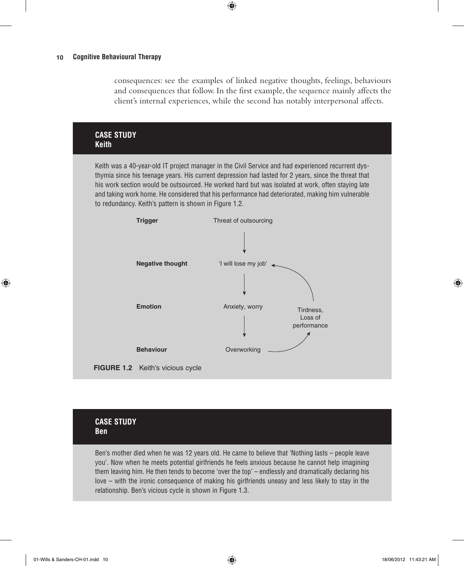consequences: see the examples of linked negative thoughts, feelings, behaviours and consequences that follow. In the first example, the sequence mainly affects the client's internal experiences, while the second has notably interpersonal affects.

## **CASE STUDY Keith**

Keith was a 40-year-old IT project manager in the Civil Service and had experienced recurrent dysthymia since his teenage years. His current depression had lasted for 2 years, since the threat that his work section would be outsourced. He worked hard but was isolated at work, often staying late and taking work home. He considered that his performance had deteriorated, making him vulnerable to redundancy. Keith's pattern is shown in Figure 1.2.

 $\bigoplus$ 



## **CASE STUDY Ben**

Ben's mother died when he was 12 years old. He came to believe that 'Nothing lasts – people leave you'. Now when he meets potential girlfriends he feels anxious because he cannot help imagining them leaving him. He then tends to become 'over the top' – endlessly and dramatically declaring his love – with the ironic consequence of making his girlfriends uneasy and less likely to stay in the relationship. Ben's vicious cycle is shown in Figure 1.3.

⊕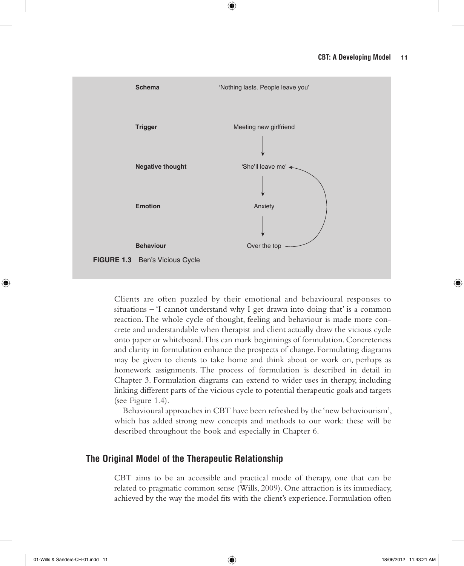

 $\bigoplus$ 

Clients are often puzzled by their emotional and behavioural responses to situations – 'I cannot understand why I get drawn into doing that' is a common reaction. The whole cycle of thought, feeling and behaviour is made more concrete and understandable when therapist and client actually draw the vicious cycle onto paper or whiteboard. This can mark beginnings of formulation. Concreteness and clarity in formulation enhance the prospects of change. Formulating diagrams may be given to clients to take home and think about or work on, perhaps as homework assignments. The process of formulation is described in detail in Chapter 3. Formulation diagrams can extend to wider uses in therapy, including linking different parts of the vicious cycle to potential therapeutic goals and targets (see Figure 1.4).

Behavioural approaches in CBT have been refreshed by the 'new behaviourism', which has added strong new concepts and methods to our work: these will be described throughout the book and especially in Chapter 6.

# **The Original Model of the Therapeutic Relationship**

CBT aims to be an accessible and practical mode of therapy, one that can be related to pragmatic common sense (Wills, 2009). One attraction is its immediacy, achieved by the way the model fits with the client's experience. Formulation often

♠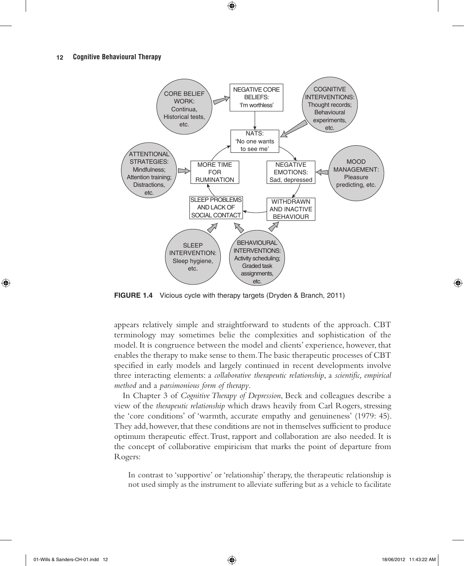

 $\bigoplus$ 

**FIGURE 1.4** Vicious cycle with therapy targets (Dryden & Branch, 2011)

appears relatively simple and straightforward to students of the approach. CBT terminology may sometimes belie the complexities and sophistication of the model. It is congruence between the model and clients' experience, however, that enables the therapy to make sense to them. The basic therapeutic processes of CBT specified in early models and largely continued in recent developments involve three interacting elements: a *collaborative therapeutic relationship*, a *scientific, empirical method* and a *parsimonious form of therapy*.

In Chapter 3 of *Cognitive Therapy of Depression*, Beck and colleagues describe a view of the *therapeutic relationship* which draws heavily from Carl Rogers, stressing the 'core conditions' of 'warmth, accurate empathy and genuineness' (1979: 45). They add, however, that these conditions are not in themselves sufficient to produce optimum therapeutic effect. Trust, rapport and collaboration are also needed. It is the concept of collaborative empiricism that marks the point of departure from Rogers:

In contrast to 'supportive' or 'relationship' therapy, the therapeutic relationship is not used simply as the instrument to alleviate suffering but as a vehicle to facilitate

⊕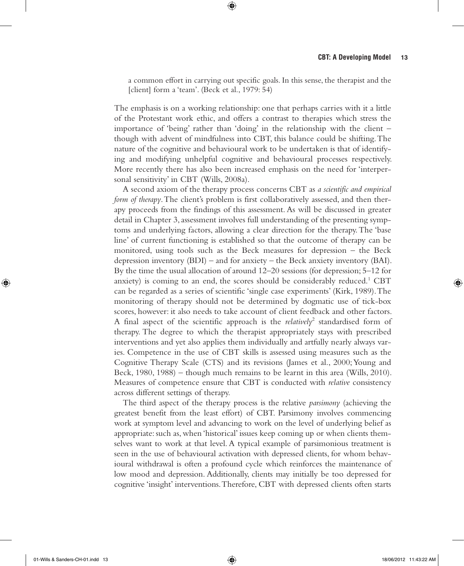a common effort in carrying out specific goals. In this sense, the therapist and the [client] form a 'team'. (Beck et al., 1979: 54)

⊕

The emphasis is on a working relationship: one that perhaps carries with it a little of the Protestant work ethic, and offers a contrast to therapies which stress the importance of 'being' rather than 'doing' in the relationship with the client – though with advent of mindfulness into CBT, this balance could be shifting. The nature of the cognitive and behavioural work to be undertaken is that of identifying and modifying unhelpful cognitive and behavioural processes respectively. More recently there has also been increased emphasis on the need for 'interpersonal sensitivity' in CBT (Wills, 2008a).

A second axiom of the therapy process concerns CBT as *a scientific and empirical form of therapy*. The client's problem is first collaboratively assessed, and then therapy proceeds from the findings of this assessment. As will be discussed in greater detail in Chapter 3, assessment involves full understanding of the presenting symptoms and underlying factors, allowing a clear direction for the therapy. The 'base line' of current functioning is established so that the outcome of therapy can be monitored, using tools such as the Beck measures for depression – the Beck depression inventory (BDI) – and for anxiety – the Beck anxiety inventory (BAI). By the time the usual allocation of around 12–20 sessions (for depression; 5–12 for anxiety) is coming to an end, the scores should be considerably reduced.<sup>1</sup> CBT can be regarded as a series of scientific 'single case experiments' (Kirk, 1989). The monitoring of therapy should not be determined by dogmatic use of tick-box scores, however: it also needs to take account of client feedback and other factors. A final aspect of the scientific approach is the *relatively*<sup>2</sup> standardised form of therapy. The degree to which the therapist appropriately stays with prescribed interventions and yet also applies them individually and artfully nearly always varies. Competence in the use of CBT skills is assessed using measures such as the Cognitive Therapy Scale (CTS) and its revisions (James et al., 2000; Young and Beck, 1980, 1988) – though much remains to be learnt in this area (Wills, 2010). Measures of competence ensure that CBT is conducted with *relative* consistency across different settings of therapy.

The third aspect of the therapy process is the relative *parsimony* (achieving the greatest benefit from the least effort) of CBT. Parsimony involves commencing work at symptom level and advancing to work on the level of underlying belief as appropriate: such as, when 'historical' issues keep coming up or when clients themselves want to work at that level. A typical example of parsimonious treatment is seen in the use of behavioural activation with depressed clients, for whom behavioural withdrawal is often a profound cycle which reinforces the maintenance of low mood and depression. Additionally, clients may initially be too depressed for cognitive 'insight' interventions. Therefore, CBT with depressed clients often starts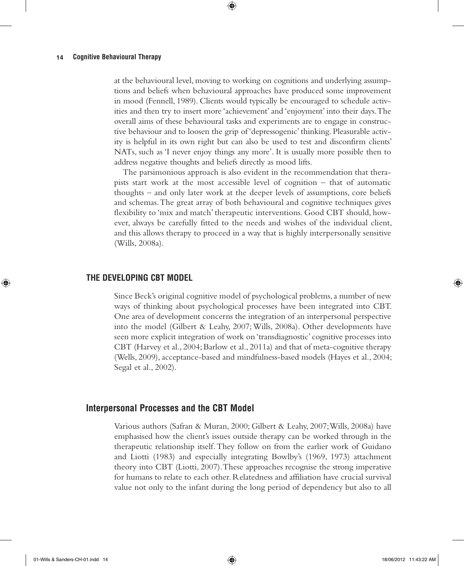at the behavioural level, moving to working on cognitions and underlying assumptions and beliefs when behavioural approaches have produced some improvement in mood (Fennell, 1989). Clients would typically be encouraged to schedule activities and then try to insert more 'achievement' and 'enjoyment' into their days. The overall aims of these behavioural tasks and experiments are to engage in constructive behaviour and to loosen the grip of 'depressogenic' thinking. Pleasurable activity is helpful in its own right but can also be used to test and disconfirm clients' NATs, such as 'I never enjoy things any more'. It is usually more possible then to address negative thoughts and beliefs directly as mood lifts.

⊕

The parsimonious approach is also evident in the recommendation that therapists start work at the most accessible level of cognition – that of automatic thoughts – and only later work at the deeper levels of assumptions, core beliefs and schemas. The great array of both behavioural and cognitive techniques gives flexibility to 'mix and match' therapeutic interventions. Good CBT should, however, always be carefully fitted to the needs and wishes of the individual client, and this allows therapy to proceed in a way that is highly interpersonally sensitive (Wills, 2008a).

## **THE DEVELOPING CBT MODEL**

Since Beck's original cognitive model of psychological problems, a number of new ways of thinking about psychological processes have been integrated into CBT. One area of development concerns the integration of an interpersonal perspective into the model (Gilbert & Leahy, 2007; Wills, 2008a). Other developments have seen more explicit integration of work on 'transdiagnostic' cognitive processes into CBT (Harvey et al., 2004; Barlow et al., 2011a) and that of meta-cognitive therapy (Wells, 2009), acceptance-based and mindfulness-based models (Hayes et al., 2004; Segal et al., 2002).

# **Interpersonal Processes and the CBT Model**

Various authors (Safran & Muran, 2000; Gilbert & Leahy, 2007; Wills, 2008a) have emphasised how the client's issues outside therapy can be worked through in the therapeutic relationship itself. They follow on from the earlier work of Guidano and Liotti (1983) and especially integrating Bowlby's (1969, 1973) attachment theory into CBT (Liotti, 2007). These approaches recognise the strong imperative for humans to relate to each other. Relatedness and affiliation have crucial survival value not only to the infant during the long period of dependency but also to all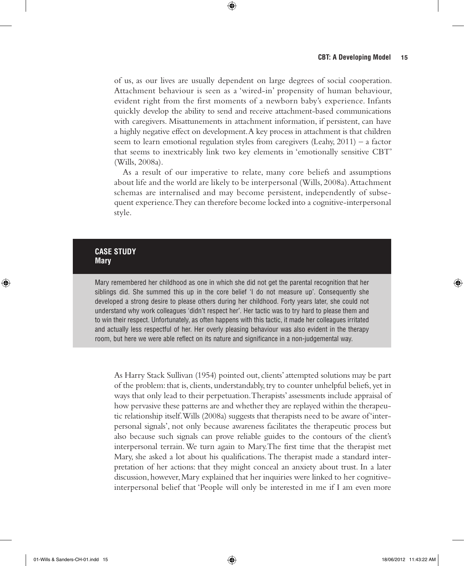of us, as our lives are usually dependent on large degrees of social cooperation. Attachment behaviour is seen as a 'wired-in' propensity of human behaviour, evident right from the first moments of a newborn baby's experience. Infants quickly develop the ability to send and receive attachment-based communications with caregivers. Misattunements in attachment information, if persistent, can have a highly negative effect on development. A key process in attachment is that children seem to learn emotional regulation styles from caregivers (Leahy, 2011) – a factor that seems to inextricably link two key elements in 'emotionally sensitive CBT' (Wills, 2008a).

⊕

As a result of our imperative to relate, many core beliefs and assumptions about life and the world are likely to be interpersonal (Wills, 2008a). Attachment schemas are internalised and may become persistent, independently of subsequent experience. They can therefore become locked into a cognitive-interpersonal style.

# **CASE STUDY Mary**

♠

Mary remembered her childhood as one in which she did not get the parental recognition that her siblings did. She summed this up in the core belief 'I do not measure up'. Consequently she developed a strong desire to please others during her childhood. Forty years later, she could not understand why work colleagues 'didn't respect her'. Her tactic was to try hard to please them and to win their respect. Unfortunately, as often happens with this tactic, it made her colleagues irritated and actually less respectful of her. Her overly pleasing behaviour was also evident in the therapy room, but here we were able reflect on its nature and significance in a non-judgemental way.

As Harry Stack Sullivan (1954) pointed out, clients' attempted solutions may be part of the problem: that is, clients, understandably, try to counter unhelpful beliefs, yet in ways that only lead to their perpetuation. Therapists' assessments include appraisal of how pervasive these patterns are and whether they are replayed within the therapeutic relationship itself. Wills (2008a) suggests that therapists need to be aware of 'interpersonal signals', not only because awareness facilitates the therapeutic process but also because such signals can prove reliable guides to the contours of the client's interpersonal terrain. We turn again to Mary.The first time that the therapist met Mary, she asked a lot about his qualifications. The therapist made a standard interpretation of her actions: that they might conceal an anxiety about trust. In a later discussion, however, Mary explained that her inquiries were linked to her cognitiveinterpersonal belief that 'People will only be interested in me if I am even more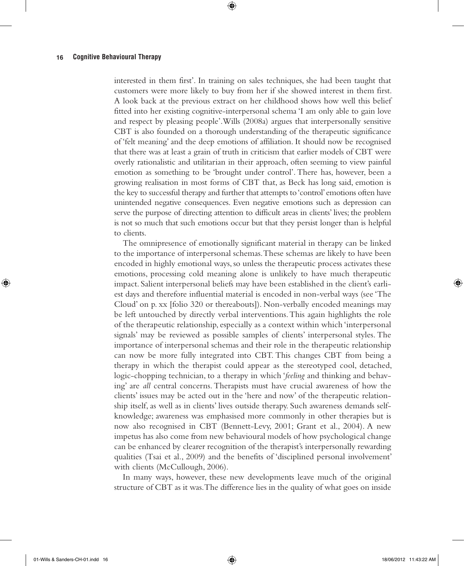interested in them first'. In training on sales techniques, she had been taught that customers were more likely to buy from her if she showed interest in them first. A look back at the previous extract on her childhood shows how well this belief fitted into her existing cognitive-interpersonal schema 'I am only able to gain love and respect by pleasing people'.Wills (2008a) argues that interpersonally sensitive CBT is also founded on a thorough understanding of the therapeutic significance of 'felt meaning' and the deep emotions of affiliation. It should now be recognised that there was at least a grain of truth in criticism that earlier models of CBT were overly rationalistic and utilitarian in their approach, often seeming to view painful emotion as something to be 'brought under control'. There has, however, been a growing realisation in most forms of CBT that, as Beck has long said, emotion is the key to successful therapy and further that attempts to 'control' emotions often have unintended negative consequences. Even negative emotions such as depression can serve the purpose of directing attention to difficult areas in clients' lives; the problem is not so much that such emotions occur but that they persist longer than is helpful to clients.

⊕

The omnipresence of emotionally significant material in therapy can be linked to the importance of interpersonal schemas. These schemas are likely to have been encoded in highly emotional ways, so unless the therapeutic process activates these emotions, processing cold meaning alone is unlikely to have much therapeutic impact. Salient interpersonal beliefs may have been established in the client's earliest days and therefore influential material is encoded in non-verbal ways (see 'The Cloud' on p. xx [folio 320 or thereabouts]). Non-verbally encoded meanings may be left untouched by directly verbal interventions. This again highlights the role of the therapeutic relationship, especially as a context within which 'interpersonal signals' may be reviewed as possible samples of clients' interpersonal styles. The importance of interpersonal schemas and their role in the therapeutic relationship can now be more fully integrated into CBT. This changes CBT from being a therapy in which the therapist could appear as the stereotyped cool, detached, logic-chopping technician, to a therapy in which '*feeling* and thinking and behaving' are *all* central concerns. Therapists must have crucial awareness of how the clients' issues may be acted out in the 'here and now' of the therapeutic relationship itself, as well as in clients' lives outside therapy. Such awareness demands selfknowledge; awareness was emphasised more commonly in other therapies but is now also recognised in CBT (Bennett-Levy, 2001; Grant et al., 2004). A new impetus has also come from new behavioural models of how psychological change can be enhanced by clearer recognition of the therapist's interpersonally rewarding qualities (Tsai et al., 2009) and the benefits of 'disciplined personal involvement' with clients (McCullough, 2006).

In many ways, however, these new developments leave much of the original structure of CBT as it was. The difference lies in the quality of what goes on inside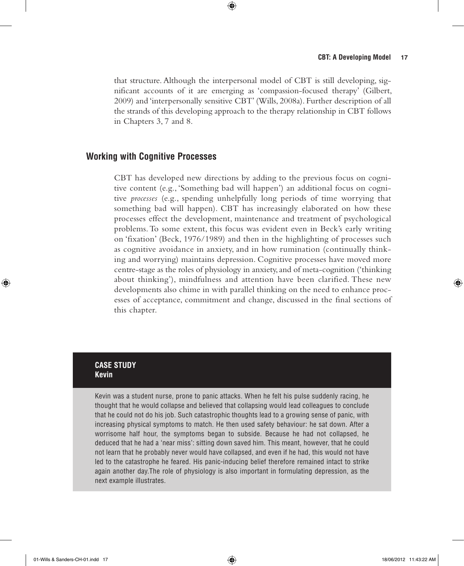that structure. Although the interpersonal model of CBT is still developing, significant accounts of it are emerging as 'compassion-focused therapy' (Gilbert, 2009) and 'interpersonally sensitive CBT' (Wills, 2008a). Further description of all the strands of this developing approach to the therapy relationship in CBT follows in Chapters 3, 7 and 8.

⊕

## **Working with Cognitive Processes**

CBT has developed new directions by adding to the previous focus on cognitive content (e.g., 'Something bad will happen') an additional focus on cognitive *processes* (e.g., spending unhelpfully long periods of time worrying that something bad will happen). CBT has increasingly elaborated on how these processes effect the development, maintenance and treatment of psychological problems. To some extent, this focus was evident even in Beck's early writing on 'fixation' (Beck, 1976/1989) and then in the highlighting of processes such as cognitive avoidance in anxiety, and in how rumination (continually thinking and worrying) maintains depression. Cognitive processes have moved more centre-stage as the roles of physiology in anxiety, and of meta-cognition ('thinking about thinking'), mindfulness and attention have been clarified. These new developments also chime in with parallel thinking on the need to enhance processes of acceptance, commitment and change, discussed in the final sections of this chapter.

## **CASE STUDY Kevin**

Kevin was a student nurse, prone to panic attacks. When he felt his pulse suddenly racing, he thought that he would collapse and believed that collapsing would lead colleagues to conclude that he could not do his job. Such catastrophic thoughts lead to a growing sense of panic, with increasing physical symptoms to match. He then used safety behaviour: he sat down. After a worrisome half hour, the symptoms began to subside. Because he had not collapsed, he deduced that he had a 'near miss': sitting down saved him. This meant, however, that he could not learn that he probably never would have collapsed, and even if he had, this would not have led to the catastrophe he feared. His panic-inducing belief therefore remained intact to strike again another day.The role of physiology is also important in formulating depression, as the next example illustrates.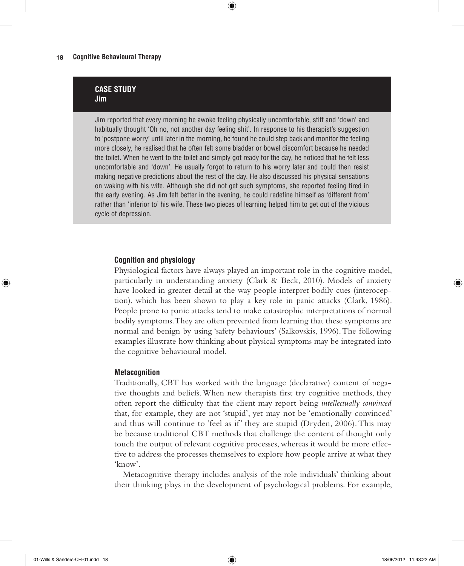# **CASE STUDY Jim**

Jim reported that every morning he awoke feeling physically uncomfortable, stiff and 'down' and habitually thought 'Oh no, not another day feeling shit'. In response to his therapist's suggestion to 'postpone worry' until later in the morning, he found he could step back and monitor the feeling more closely, he realised that he often felt some bladder or bowel discomfort because he needed the toilet. When he went to the toilet and simply got ready for the day, he noticed that he felt less uncomfortable and 'down'. He usually forgot to return to his worry later and could then resist making negative predictions about the rest of the day. He also discussed his physical sensations on waking with his wife. Although she did not get such symptoms, she reported feeling tired in the early evening. As Jim felt better in the evening, he could redefine himself as 'different from' rather than 'inferior to' his wife. These two pieces of learning helped him to get out of the vicious cycle of depression.

⊕

#### **Cognition and physiology**

Physiological factors have always played an important role in the cognitive model, particularly in understanding anxiety (Clark & Beck, 2010). Models of anxiety have looked in greater detail at the way people interpret bodily cues (interoception), which has been shown to play a key role in panic attacks (Clark, 1986). People prone to panic attacks tend to make catastrophic interpretations of normal bodily symptoms. They are often prevented from learning that these symptoms are normal and benign by using 'safety behaviours' (Salkovskis, 1996). The following examples illustrate how thinking about physical symptoms may be integrated into the cognitive behavioural model.

## **Metacognition**

Traditionally, CBT has worked with the language (declarative) content of negative thoughts and beliefs. When new therapists first try cognitive methods, they often report the difficulty that the client may report being *intellectually convinced* that, for example, they are not 'stupid', yet may not be 'emotionally convinced' and thus will continue to 'feel as if' they are stupid (Dryden, 2006). This may be because traditional CBT methods that challenge the content of thought only touch the output of relevant cognitive processes, whereas it would be more effective to address the processes themselves to explore how people arrive at what they 'know'.

Metacognitive therapy includes analysis of the role individuals' thinking about their thinking plays in the development of psychological problems. For example,

♠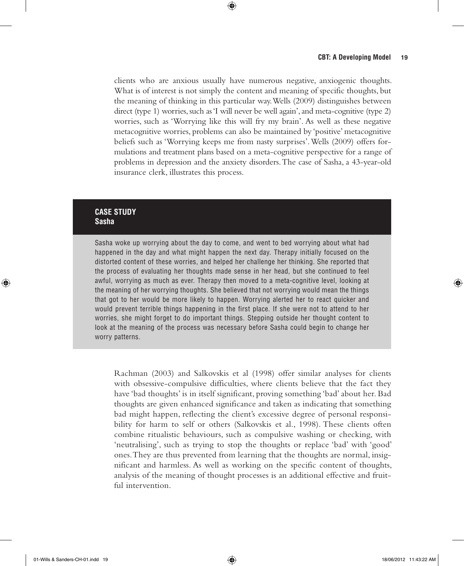clients who are anxious usually have numerous negative, anxiogenic thoughts. What is of interest is not simply the content and meaning of specific thoughts, but the meaning of thinking in this particular way. Wells (2009) distinguishes between direct (type 1) worries, such as 'I will never be well again', and meta-cognitive (type 2) worries, such as 'Worrying like this will fry my brain'. As well as these negative metacognitive worries, problems can also be maintained by 'positive' metacognitive beliefs such as 'Worrying keeps me from nasty surprises'. Wells (2009) offers formulations and treatment plans based on a meta-cognitive perspective for a range of problems in depression and the anxiety disorders. The case of Sasha, a 43-year-old insurance clerk, illustrates this process.

⊕

## **CASE STUDY Sasha**

Sasha woke up worrying about the day to come, and went to bed worrying about what had happened in the day and what might happen the next day. Therapy initially focused on the distorted content of these worries, and helped her challenge her thinking. She reported that the process of evaluating her thoughts made sense in her head, but she continued to feel awful, worrying as much as ever. Therapy then moved to a meta-cognitive level, looking at the meaning of her worrying thoughts. She believed that not worrying would mean the things that got to her would be more likely to happen. Worrying alerted her to react quicker and would prevent terrible things happening in the first place. If she were not to attend to her worries, she might forget to do important things. Stepping outside her thought content to look at the meaning of the process was necessary before Sasha could begin to change her worry patterns.

Rachman (2003) and Salkovskis et al (1998) offer similar analyses for clients with obsessive-compulsive difficulties, where clients believe that the fact they have 'bad thoughts' is in itself significant, proving something 'bad' about her. Bad thoughts are given enhanced significance and taken as indicating that something bad might happen, reflecting the client's excessive degree of personal responsibility for harm to self or others (Salkovskis et al., 1998). These clients often combine ritualistic behaviours, such as compulsive washing or checking, with 'neutralising', such as trying to stop the thoughts or replace 'bad' with 'good' ones. They are thus prevented from learning that the thoughts are normal, insignificant and harmless. As well as working on the specific content of thoughts, analysis of the meaning of thought processes is an additional effective and fruitful intervention.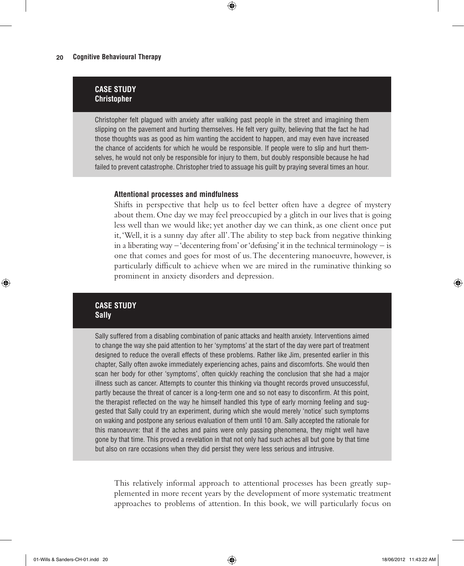# **CASE STUDY Christopher**

Christopher felt plagued with anxiety after walking past people in the street and imagining them slipping on the pavement and hurting themselves. He felt very guilty, believing that the fact he had those thoughts was as good as him wanting the accident to happen, and may even have increased the chance of accidents for which he would be responsible. If people were to slip and hurt themselves, he would not only be responsible for injury to them, but doubly responsible because he had failed to prevent catastrophe. Christopher tried to assuage his guilt by praying several times an hour.

⊕

## **Attentional processes and mindfulness**

Shifts in perspective that help us to feel better often have a degree of mystery about them. One day we may feel preoccupied by a glitch in our lives that is going less well than we would like; yet another day we can think, as one client once put it, 'Well, it is a sunny day after all'. The ability to step back from negative thinking in a liberating way – 'decentering from' or 'defusing' it in the technical terminology – is one that comes and goes for most of us. The decentering manoeuvre, however, is particularly difficult to achieve when we are mired in the ruminative thinking so prominent in anxiety disorders and depression.

## **CASE STUDY Sally**

♠

Sally suffered from a disabling combination of panic attacks and health anxiety. Interventions aimed to change the way she paid attention to her 'symptoms' at the start of the day were part of treatment designed to reduce the overall effects of these problems. Rather like Jim, presented earlier in this chapter, Sally often awoke immediately experiencing aches, pains and discomforts. She would then scan her body for other 'symptoms', often quickly reaching the conclusion that she had a major illness such as cancer. Attempts to counter this thinking via thought records proved unsuccessful, partly because the threat of cancer is a long-term one and so not easy to disconfirm. At this point, the therapist reflected on the way he himself handled this type of early morning feeling and suggested that Sally could try an experiment, during which she would merely 'notice' such symptoms on waking and postpone any serious evaluation of them until 10 am. Sally accepted the rationale for this manoeuvre: that if the aches and pains were only passing phenomena, they might well have gone by that time. This proved a revelation in that not only had such aches all but gone by that time but also on rare occasions when they did persist they were less serious and intrusive.

This relatively informal approach to attentional processes has been greatly supplemented in more recent years by the development of more systematic treatment approaches to problems of attention. In this book, we will particularly focus on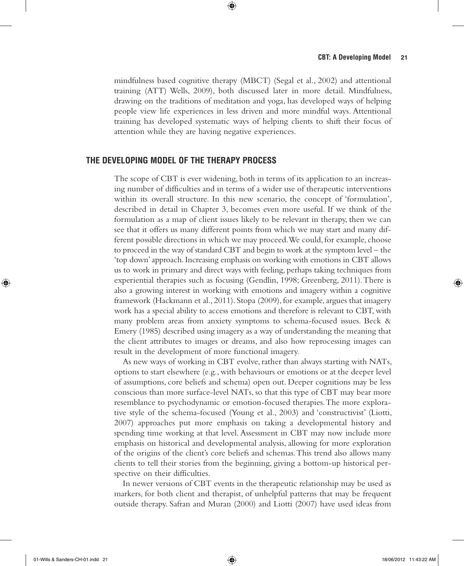mindfulness based cognitive therapy (MBCT) (Segal et al., 2002) and attentional training (ATT) Wells, 2009), both discussed later in more detail. Mindfulness, drawing on the traditions of meditation and yoga, has developed ways of helping people view life experiences in less driven and more mindful ways. Attentional training has developed systematic ways of helping clients to shift their focus of attention while they are having negative experiences.

⊕

## **THE DEVELOPING MODEL OF THE THERAPY PROCESS**

The scope of CBT is ever widening, both in terms of its application to an increasing number of difficulties and in terms of a wider use of therapeutic interventions within its overall structure. In this new scenario, the concept of 'formulation', described in detail in Chapter 3, becomes even more useful. If we think of the formulation as a map of client issues likely to be relevant in therapy, then we can see that it offers us many different points from which we may start and many different possible directions in which we may proceed. We could, for example, choose to proceed in the way of standard CBT and begin to work at the symptom level – the 'top down' approach. Increasing emphasis on working with emotions in CBT allows us to work in primary and direct ways with feeling, perhaps taking techniques from experiential therapies such as focusing (Gendlin, 1998; Greenberg, 2011). There is also a growing interest in working with emotions and imagery within a cognitive framework (Hackmann et al., 2011). Stopa (2009), for example, argues that imagery work has a special ability to access emotions and therefore is relevant to CBT, with many problem areas from anxiety symptoms to schema-focused issues. Beck & Emery (1985) described using imagery as a way of understanding the meaning that the client attributes to images or dreams, and also how reprocessing images can result in the development of more functional imagery.

As new ways of working in CBT evolve, rather than always starting with NATs, options to start elsewhere (e.g., with behaviours or emotions or at the deeper level of assumptions, core beliefs and schema) open out. Deeper cognitions may be less conscious than more surface-level NATs, so that this type of CBT may bear more resemblance to psychodynamic or emotion-focused therapies. The more explorative style of the schema-focused (Young et al., 2003) and 'constructivist' (Liotti, 2007) approaches put more emphasis on taking a developmental history and spending time working at that level. Assessment in CBT may now include more emphasis on historical and developmental analysis, allowing for more exploration of the origins of the client's core beliefs and schemas. This trend also allows many clients to tell their stories from the beginning, giving a bottom-up historical perspective on their difficulties.

In newer versions of CBT events in the therapeutic relationship may be used as markers, for both client and therapist, of unhelpful patterns that may be frequent outside therapy. Safran and Muran (2000) and Liotti (2007) have used ideas from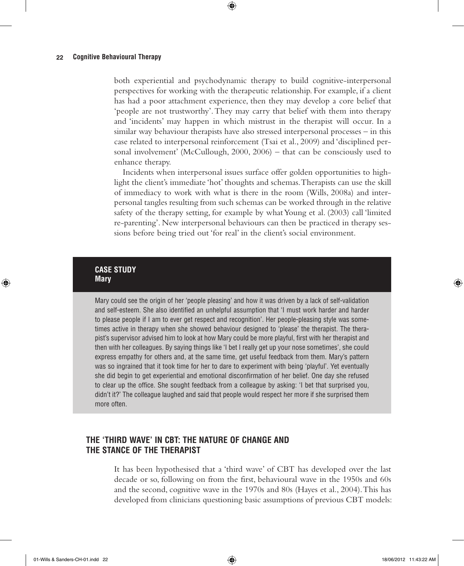both experiential and psychodynamic therapy to build cognitive-interpersonal perspectives for working with the therapeutic relationship. For example, if a client has had a poor attachment experience, then they may develop a core belief that 'people are not trustworthy'. They may carry that belief with them into therapy and 'incidents' may happen in which mistrust in the therapist will occur. In a similar way behaviour therapists have also stressed interpersonal processes – in this case related to interpersonal reinforcement (Tsai et al., 2009) and 'disciplined personal involvement' (McCullough, 2000, 2006) – that can be consciously used to enhance therapy.

⊕

Incidents when interpersonal issues surface offer golden opportunities to highlight the client's immediate 'hot' thoughts and schemas. Therapists can use the skill of immediacy to work with what is there in the room (Wills, 2008a) and interpersonal tangles resulting from such schemas can be worked through in the relative safety of the therapy setting, for example by what Young et al. (2003) call 'limited re-parenting'. New interpersonal behaviours can then be practiced in therapy sessions before being tried out 'for real' in the client's social environment.

# **CASE STUDY Mary**

♠

Mary could see the origin of her 'people pleasing' and how it was driven by a lack of self-validation and self-esteem. She also identified an unhelpful assumption that 'I must work harder and harder to please people if I am to ever get respect and recognition'. Her people-pleasing style was sometimes active in therapy when she showed behaviour designed to 'please' the therapist. The therapist's supervisor advised him to look at how Mary could be more playful, first with her therapist and then with her colleagues. By saying things like 'I bet I really get up your nose sometimes', she could express empathy for others and, at the same time, get useful feedback from them. Mary's pattern was so ingrained that it took time for her to dare to experiment with being 'playful'. Yet eventually she did begin to get experiential and emotional disconfirmation of her belief. One day she refused to clear up the office. She sought feedback from a colleague by asking: 'I bet that surprised you, didn't it?' The colleague laughed and said that people would respect her more if she surprised them more often.

# **THE 'THIRD WAVE' IN CBT: THE NATURE OF CHANGE AND THE STANCE OF THE THERAPIST**

It has been hypothesised that a 'third wave' of CBT has developed over the last decade or so, following on from the first, behavioural wave in the 1950s and 60s and the second, cognitive wave in the 1970s and 80s (Hayes et al., 2004). This has developed from clinicians questioning basic assumptions of previous CBT models: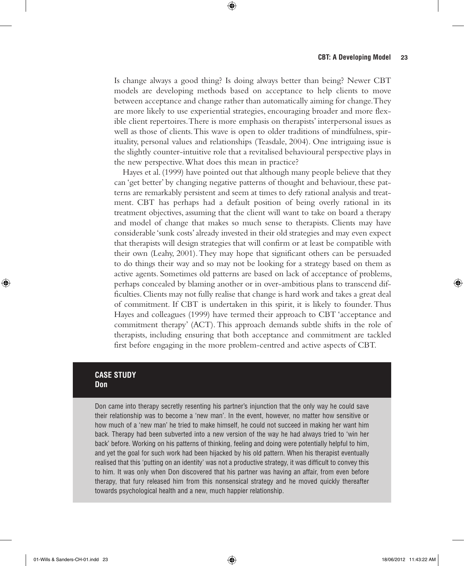Is change always a good thing? Is doing always better than being? Newer CBT models are developing methods based on acceptance to help clients to move between acceptance and change rather than automatically aiming for change. They are more likely to use experiential strategies, encouraging broader and more flexible client repertoires. There is more emphasis on therapists' interpersonal issues as well as those of clients. This wave is open to older traditions of mindfulness, spirituality, personal values and relationships (Teasdale, 2004). One intriguing issue is the slightly counter-intuitive role that a revitalised behavioural perspective plays in the new perspective. What does this mean in practice?

⊕

Hayes et al. (1999) have pointed out that although many people believe that they can 'get better' by changing negative patterns of thought and behaviour, these patterns are remarkably persistent and seem at times to defy rational analysis and treatment. CBT has perhaps had a default position of being overly rational in its treatment objectives, assuming that the client will want to take on board a therapy and model of change that makes so much sense to therapists. Clients may have considerable 'sunk costs' already invested in their old strategies and may even expect that therapists will design strategies that will confirm or at least be compatible with their own (Leahy, 2001). They may hope that significant others can be persuaded to do things their way and so may not be looking for a strategy based on them as active agents. Sometimes old patterns are based on lack of acceptance of problems, perhaps concealed by blaming another or in over-ambitious plans to transcend difficulties. Clients may not fully realise that change is hard work and takes a great deal of commitment. If CBT is undertaken in this spirit, it is likely to founder. Thus Hayes and colleagues (1999) have termed their approach to CBT 'acceptance and commitment therapy' (ACT). This approach demands subtle shifts in the role of therapists, including ensuring that both acceptance and commitment are tackled first before engaging in the more problem-centred and active aspects of CBT.

## **CASE STUDY Don**

Don came into therapy secretly resenting his partner's injunction that the only way he could save their relationship was to become a 'new man'. In the event, however, no matter how sensitive or how much of a 'new man' he tried to make himself, he could not succeed in making her want him back. Therapy had been subverted into a new version of the way he had always tried to 'win her back' before. Working on his patterns of thinking, feeling and doing were potentially helpful to him, and yet the goal for such work had been hijacked by his old pattern. When his therapist eventually realised that this 'putting on an identity' was not a productive strategy, it was difficult to convey this to him. It was only when Don discovered that his partner was having an affair, from even before therapy, that fury released him from this nonsensical strategy and he moved quickly thereafter towards psychological health and a new, much happier relationship.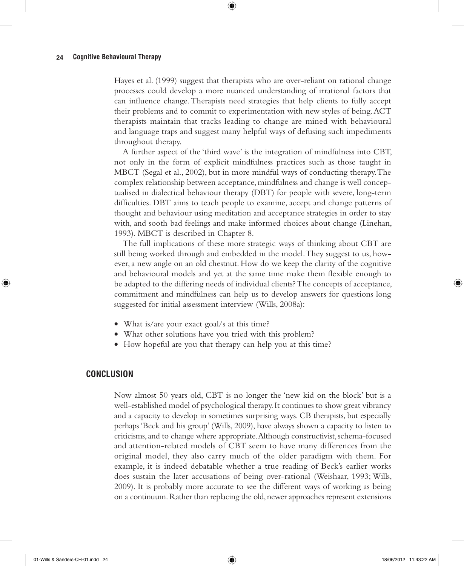Hayes et al. (1999) suggest that therapists who are over-reliant on rational change processes could develop a more nuanced understanding of irrational factors that can influence change. Therapists need strategies that help clients to fully accept their problems and to commit to experimentation with new styles of being. ACT therapists maintain that tracks leading to change are mined with behavioural and language traps and suggest many helpful ways of defusing such impediments throughout therapy.

⊕

A further aspect of the 'third wave' is the integration of mindfulness into CBT, not only in the form of explicit mindfulness practices such as those taught in MBCT (Segal et al., 2002), but in more mindful ways of conducting therapy. The complex relationship between acceptance, mindfulness and change is well conceptualised in dialectical behaviour therapy (DBT) for people with severe, long-term difficulties. DBT aims to teach people to examine, accept and change patterns of thought and behaviour using meditation and acceptance strategies in order to stay with, and sooth bad feelings and make informed choices about change (Linehan, 1993). MBCT is described in Chapter 8.

The full implications of these more strategic ways of thinking about CBT are still being worked through and embedded in the model. They suggest to us, however, a new angle on an old chestnut. How do we keep the clarity of the cognitive and behavioural models and yet at the same time make them flexible enough to be adapted to the differing needs of individual clients? The concepts of acceptance, commitment and mindfulness can help us to develop answers for questions long suggested for initial assessment interview (Wills, 2008a):

- What is/are your exact goal/s at this time?
- What other solutions have you tried with this problem?
- How hopeful are you that therapy can help you at this time?

## **CONCLUSION**

Now almost 50 years old, CBT is no longer the 'new kid on the block' but is a well-established model of psychological therapy. It continues to show great vibrancy and a capacity to develop in sometimes surprising ways. CB therapists, but especially perhaps 'Beck and his group' (Wills, 2009), have always shown a capacity to listen to criticisms, and to change where appropriate. Although constructivist, schema-focused and attention-related models of CBT seem to have many differences from the original model, they also carry much of the older paradigm with them. For example, it is indeed debatable whether a true reading of Beck's earlier works does sustain the later accusations of being over-rational (Weishaar, 1993; Wills, 2009). It is probably more accurate to see the different ways of working as being on a continuum. Rather than replacing the old, newer approaches represent extensions